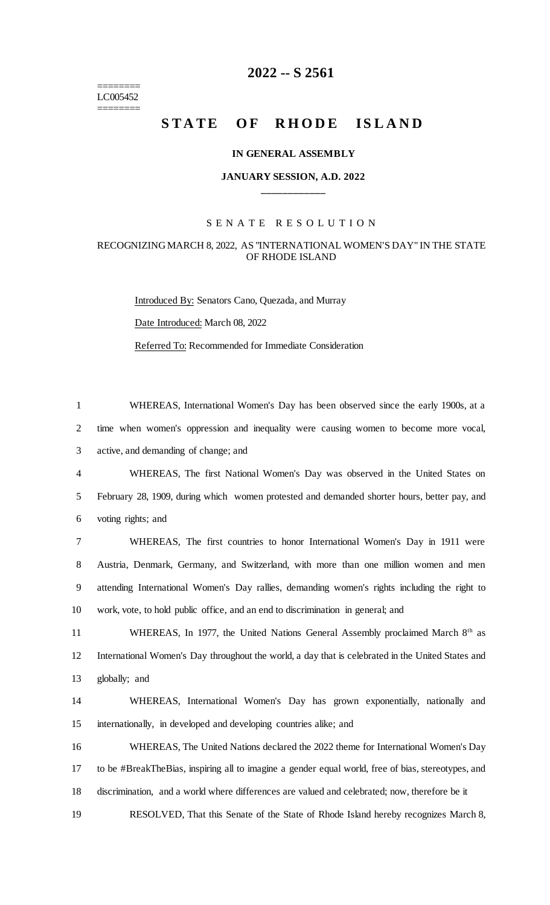======== LC005452 ========

# **2022 -- S 2561**

# **STATE OF RHODE ISLAND**

#### **IN GENERAL ASSEMBLY**

### **JANUARY SESSION, A.D. 2022 \_\_\_\_\_\_\_\_\_\_\_\_**

#### S E N A T E R E S O L U T I O N

## RECOGNIZING MARCH 8, 2022, AS "INTERNATIONAL WOMEN'S DAY" IN THE STATE OF RHODE ISLAND

Introduced By: Senators Cano, Quezada, and Murray Date Introduced: March 08, 2022 Referred To: Recommended for Immediate Consideration

1 WHEREAS, International Women's Day has been observed since the early 1900s, at a 2 time when women's oppression and inequality were causing women to become more vocal, 3 active, and demanding of change; and

4 WHEREAS, The first National Women's Day was observed in the United States on 5 February 28, 1909, during which women protested and demanded shorter hours, better pay, and 6 voting rights; and

 WHEREAS, The first countries to honor International Women's Day in 1911 were Austria, Denmark, Germany, and Switzerland, with more than one million women and men attending International Women's Day rallies, demanding women's rights including the right to work, vote, to hold public office, and an end to discrimination in general; and

11 WHEREAS, In 1977, the United Nations General Assembly proclaimed March 8<sup>th</sup> as 12 International Women's Day throughout the world, a day that is celebrated in the United States and 13 globally; and

14 WHEREAS, International Women's Day has grown exponentially, nationally and 15 internationally, in developed and developing countries alike; and

16 WHEREAS, The United Nations declared the 2022 theme for International Women's Day 17 to be #BreakTheBias, inspiring all to imagine a gender equal world, free of bias, stereotypes, and 18 discrimination, and a world where differences are valued and celebrated; now, therefore be it

19 RESOLVED, That this Senate of the State of Rhode Island hereby recognizes March 8,